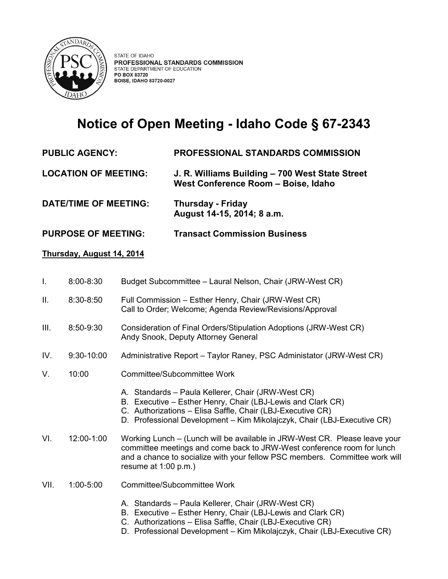

## **Notice of Open Meeting - Idaho Code § 67-2343**

## **PUBLIC AGENCY: PROFESSIONAL STANDARDS COMMISSION**

- **LOCATION OF MEETING: J. R. Williams Building – 700 West State Street West Conference Room – Boise, Idaho**
- **DATE/TIME OF MEETING: Thursday - Friday August 14-15, 2014; 8 a.m.**
- **PURPOSE OF MEETING: Transact Commission Business**

## **Thursday, August 14, 2014**

- I. 8:00-8:30 Budget Subcommittee Laural Nelson, Chair (JRW-West CR)
- II. 8:30-8:50 Full Commission Esther Henry, Chair (JRW-West CR) Call to Order; Welcome; Agenda Review/Revisions/Approval
- III. 8:50-9:30 Consideration of Final Orders/Stipulation Adoptions (JRW-West CR) Andy Snook, Deputy Attorney General
- IV. 9:30-10:00 Administrative Report Taylor Raney, PSC Administator (JRW-West CR)
- V. 10:00 Committee/Subcommittee Work
	- A. Standards Paula Kellerer, Chair (JRW-West CR)
	- B. Executive Esther Henry, Chair (LBJ-Lewis and Clark CR)
	- C. Authorizations Elisa Saffle, Chair (LBJ-Executive CR)
	- D. Professional Development Kim Mikolajczyk, Chair (LBJ-Executive CR)
- VI. 12:00-1:00 Working Lunch (Lunch will be available in JRW-West CR. Please leave your committee meetings and come back to JRW-West conference room for lunch and a chance to socialize with your fellow PSC members. Committee work will resume at 1:00 p.m.)
- VII. 1:00-5:00 Committee/Subcommittee Work
	- A. Standards Paula Kellerer, Chair (JRW-West CR)
	- B. Executive Esther Henry, Chair (LBJ-Lewis and Clark CR)
	- C. Authorizations Elisa Saffle, Chair (LBJ-Executive CR)
	- D. Professional Development Kim Mikolajczyk, Chair (LBJ-Executive CR)